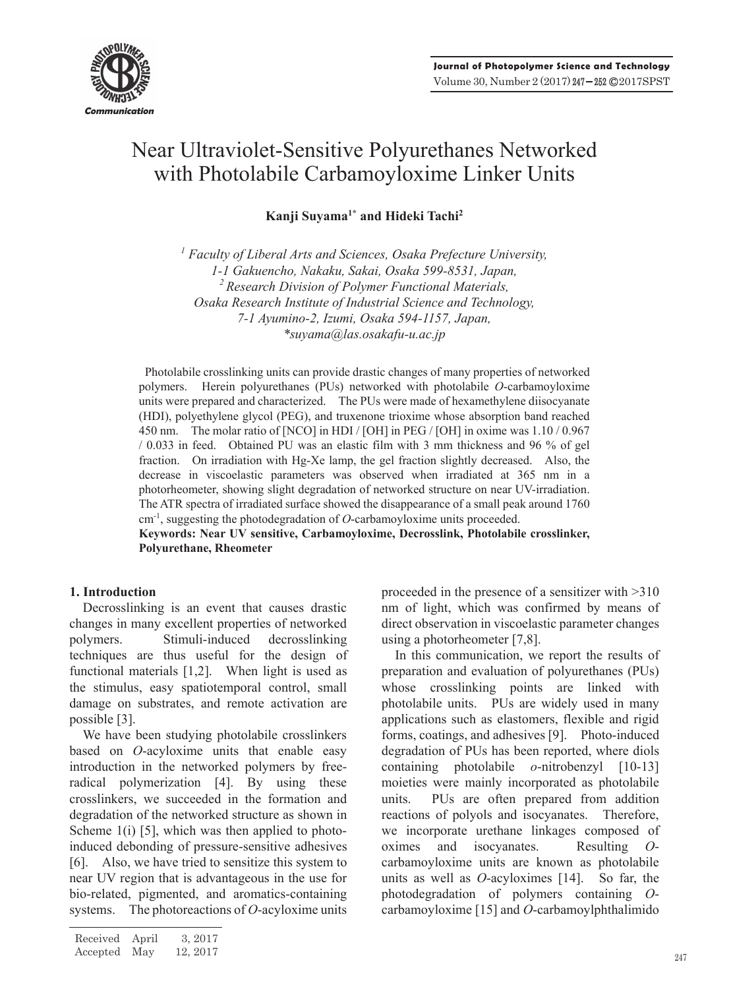

# Near Ultraviolet-Sensitive Polyurethanes Networked with Photolabile Carbamoyloxime Linker Units

**Kanji Suyama1\* and Hideki Tachi2**

<sup>1</sup> Faculty of Liberal Arts and Sciences, Osaka Prefecture University, *1-1 Gakuencho, Nakaku, Sakai, Osaka 599-8531, Japan, 2 Research Division of Polymer Functional Materials, Osaka Research Institute of Industrial Science and Technology, 7-1 Ayumino-2, Izumi, Osaka 594-1157, Japan, \*suyama@las.osakafu-u.ac.jp*

Photolabile crosslinking units can provide drastic changes of many properties of networked polymers. Herein polyurethanes (PUs) networked with photolabile *O*-carbamoyloxime units were prepared and characterized. The PUs were made of hexamethylene diisocyanate (HDI), polyethylene glycol (PEG), and truxenone trioxime whose absorption band reached 450 nm. The molar ratio of [NCO] in HDI / [OH] in PEG / [OH] in oxime was 1.10 / 0.967 / 0.033 in feed. Obtained PU was an elastic film with 3 mm thickness and 96 % of gel fraction. On irradiation with Hg-Xe lamp, the gel fraction slightly decreased. Also, the decrease in viscoelastic parameters was observed when irradiated at 365 nm in a photorheometer, showing slight degradation of networked structure on near UV-irradiation. The ATR spectra of irradiated surface showed the disappearance of a small peak around 1760 cm-1, suggesting the photodegradation of *O*-carbamoyloxime units proceeded.

**Keywords: Near UV sensitive, Carbamoyloxime, Decrosslink, Photolabile crosslinker, Polyurethane, Rheometer**

# **1. Introduction**

Decrosslinking is an event that causes drastic changes in many excellent properties of networked polymers. Stimuli-induced decrosslinking techniques are thus useful for the design of functional materials [1,2]. When light is used as the stimulus, easy spatiotemporal control, small damage on substrates, and remote activation are possible [3].

We have been studying photolabile crosslinkers based on *O*-acyloxime units that enable easy introduction in the networked polymers by freeradical polymerization [4]. By using these crosslinkers, we succeeded in the formation and degradation of the networked structure as shown in Scheme  $1(i)$  [5], which was then applied to photoinduced debonding of pressure-sensitive adhesives [6]. Also, we have tried to sensitize this system to near UV region that is advantageous in the use for bio-related, pigmented, and aromatics-containing systems. The photoreactions of *O*-acyloxime units proceeded in the presence of a sensitizer with >310 nm of light, which was confirmed by means of direct observation in viscoelastic parameter changes using a photorheometer [7,8].

In this communication, we report the results of preparation and evaluation of polyurethanes (PUs) whose crosslinking points are linked with photolabile units. PUs are widely used in many applications such as elastomers, flexible and rigid forms, coatings, and adhesives [9]. Photo-induced degradation of PUs has been reported, where diols containing photolabile *o*-nitrobenzyl [10-13] moieties were mainly incorporated as photolabile units. PUs are often prepared from addition reactions of polyols and isocyanates. Therefore, we incorporate urethane linkages composed of oximes and isocyanates. Resulting *O*carbamoyloxime units are known as photolabile units as well as *O*-acyloximes [14]. So far, the photodegradation of polymers containing *O*carbamoyloxime [15] and *O*-carbamoylphthalimido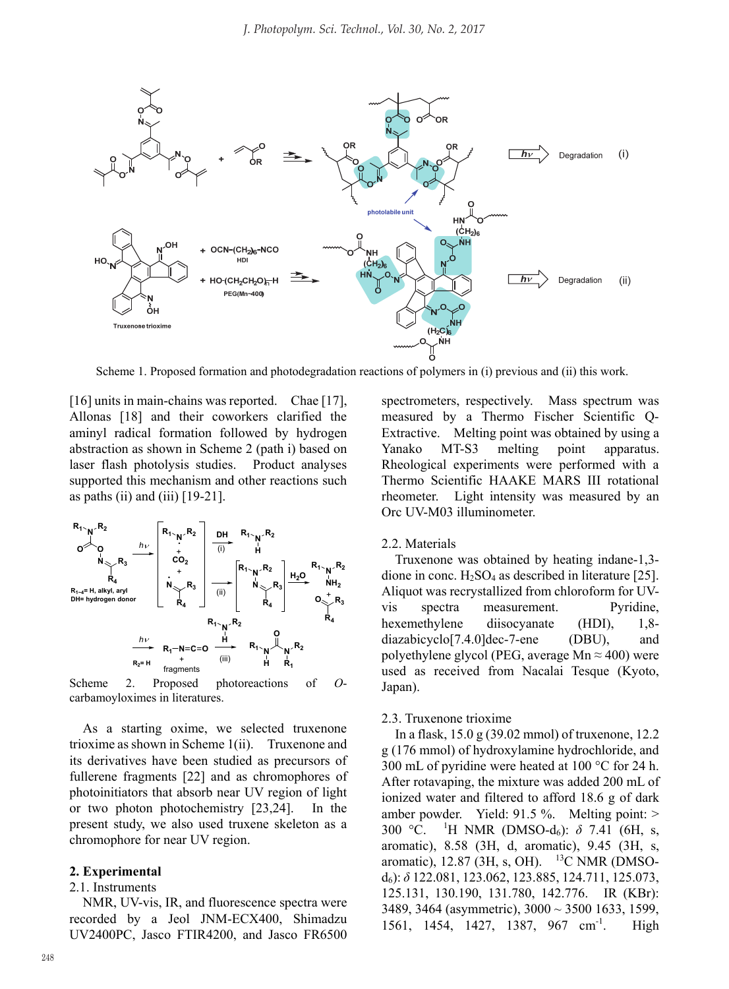

Scheme 1. Proposed formation and photodegradation reactions of polymers in (i) previous and (ii) this work.

[16] units in main-chains was reported. Chae [17], Allonas [18] and their coworkers clarified the aminyl radical formation followed by hydrogen abstraction as shown in Scheme 2 (path i) based on laser flash photolysis studies. Product analyses supported this mechanism and other reactions such as paths (ii) and (iii)  $[19-21]$ .



Scheme 2. Proposed photoreactions of *O*carbamoyloximes in literatures.

As a starting oxime, we selected truxenone trioxime as shown in Scheme 1(ii). Truxenone and its derivatives have been studied as precursors of fullerene fragments [22] and as chromophores of photoinitiators that absorb near UV region of light or two photon photochemistry [23,24]. In the present study, we also used truxene skeleton as a chromophore for near UV region.

#### **2. Experimental**

#### 2.1. Instruments

NMR, UV-vis, IR, and fluorescence spectra were recorded by a Jeol JNM-ECX400, Shimadzu UV2400PC, Jasco FTIR4200, and Jasco FR6500 spectrometers, respectively. Mass spectrum was measured by a Thermo Fischer Scientific Q-Extractive. Melting point was obtained by using a Yanako MT-S3 melting point apparatus. Rheological experiments were performed with a Thermo Scientific HAAKE MARS III rotational rheometer. Light intensity was measured by an Orc UV-M03 illuminometer.

#### 2.2. Materials

Truxenone was obtained by heating indane-1,3 dione in conc. H2SO4 as described in literature [25]. Aliquot was recrystallized from chloroform for UVvis spectra measurement. Pyridine, hexemethylene diisocyanate (HDI), 1,8diazabicyclo[7.4.0]dec-7-ene (DBU), and polyethylene glycol (PEG, average Mn  $\approx$  400) were used as received from Nacalai Tesque (Kyoto, Japan).

#### 2.3. Truxenone trioxime

In a flask, 15.0 g (39.02 mmol) of truxenone, 12.2 g (176 mmol) of hydroxylamine hydrochloride, and 300 mL of pyridine were heated at 100 °C for 24 h. After rotavaping, the mixture was added 200 mL of ionized water and filtered to afford 18.6 g of dark amber powder. Yield: 91.5 %. Melting point: >  $300 \text{ °C}$ . <sup>1</sup>H NMR (DMSO-d<sub>6</sub>): δ 7.41 (6H, s, aromatic), 8.58 (3H, d, aromatic), 9.45 (3H, s, aromatic),  $12.87$  (3H, s, OH). <sup>13</sup>C NMR (DMSOd6): *δ* 122.081, 123.062, 123.885, 124.711, 125.073, 125.131, 130.190, 131.780, 142.776. IR (KBr): 3489, 3464 (asymmetric), 3000 ~ 3500 1633, 1599, 1561, 1454, 1427, 1387, 967 cm<sup>-1</sup>. High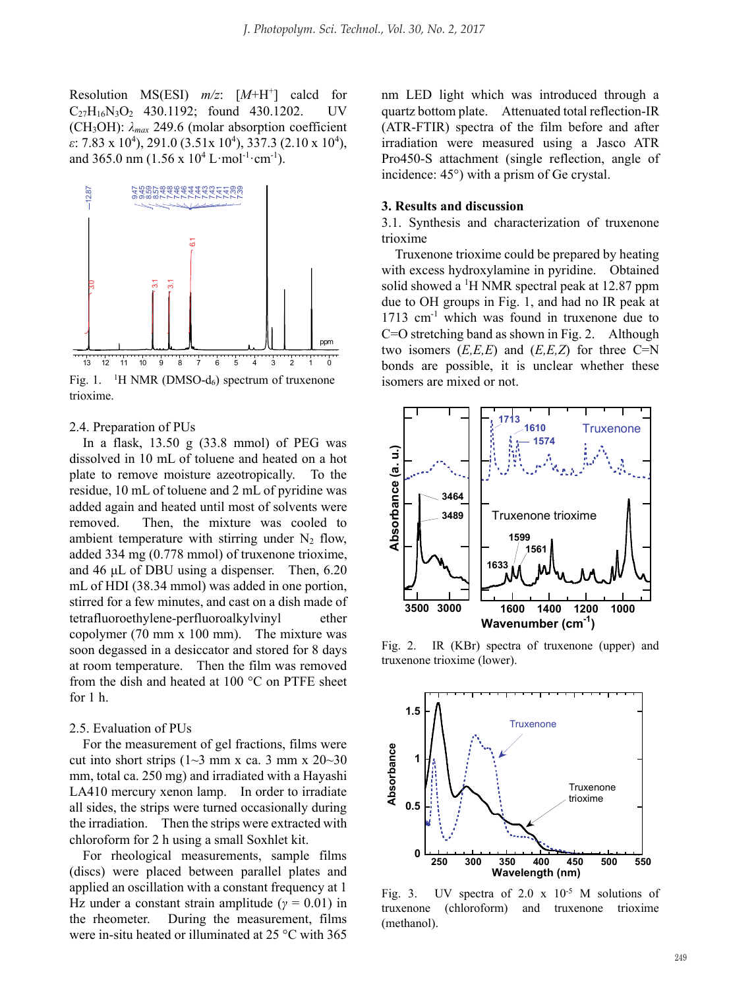Resolution MS(ESI) *m/z*: [*M*+H+ ] calcd for C27H16N3O2 430.1192; found 430.1202. UV (CH<sub>3</sub>OH):  $\lambda_{max}$  249.6 (molar absorption coefficient *ε*: 7.83 x 10<sup>4</sup>), 291.0 (3.51x 10<sup>4</sup>), 337.3 (2.10 x 10<sup>4</sup>), and 365.0 nm  $(1.56 \times 10^4 \text{ L} \cdot \text{mol}^{-1} \cdot \text{cm}^{-1})$ .



Fig. 1. <sup>1</sup>H NMR (DMSO- $d_6$ ) spectrum of truxenone trioxime.

#### 2.4. Preparation of PUs

In a flask, 13.50 g (33.8 mmol) of PEG was dissolved in 10 mL of toluene and heated on a hot plate to remove moisture azeotropically. To the residue, 10 mL of toluene and 2 mL of pyridine was added again and heated until most of solvents were removed. Then, the mixture was cooled to ambient temperature with stirring under  $N_2$  flow, added 334 mg (0.778 mmol) of truxenone trioxime, and 46 μL of DBU using a dispenser. Then, 6.20 mL of HDI (38.34 mmol) was added in one portion, stirred for a few minutes, and cast on a dish made of tetrafluoroethylene-perfluoroalkylvinyl ether copolymer (70 mm x 100 mm). The mixture was soon degassed in a desiccator and stored for 8 days at room temperature. Then the film was removed from the dish and heated at 100 °C on PTFE sheet for  $1 h$ 

#### 2.5. Evaluation of PUs

For the measurement of gel fractions, films were cut into short strips  $(1~3$  mm x ca. 3 mm x  $20~30$ mm, total ca. 250 mg) and irradiated with a Hayashi LA410 mercury xenon lamp. In order to irradiate all sides, the strips were turned occasionally during the irradiation. Then the strips were extracted with chloroform for 2 h using a small Soxhlet kit.

For rheological measurements, sample films (discs) were placed between parallel plates and applied an oscillation with a constant frequency at 1 Hz under a constant strain amplitude ( $\gamma = 0.01$ ) in the rheometer. During the measurement, films were in-situ heated or illuminated at 25 °C with 365

nm LED light which was introduced through a quartz bottom plate. Attenuated total reflection-IR (ATR-FTIR) spectra of the film before and after irradiation were measured using a Jasco ATR Pro450-S attachment (single reflection, angle of incidence: 45°) with a prism of Ge crystal.

#### **3. Results and discussion**

3.1. Synthesis and characterization of truxenone trioxime

Truxenone trioxime could be prepared by heating with excess hydroxylamine in pyridine. Obtained solid showed a <sup>1</sup>H NMR spectral peak at 12.87 ppm due to OH groups in Fig. 1, and had no IR peak at  $1713$  cm<sup>-1</sup> which was found in truxenone due to C=O stretching band as shown in Fig. 2. Although two isomers  $(E, E, E)$  and  $(E, E, Z)$  for three C=N bonds are possible, it is unclear whether these isomers are mixed or not.



Fig. 2. IR (KBr) spectra of truxenone (upper) and truxenone trioxime (lower).



Fig. 3. UV spectra of  $2.0 \times 10^{-5}$  M solutions of truxenone (chloroform) and truxenone trioxime (methanol).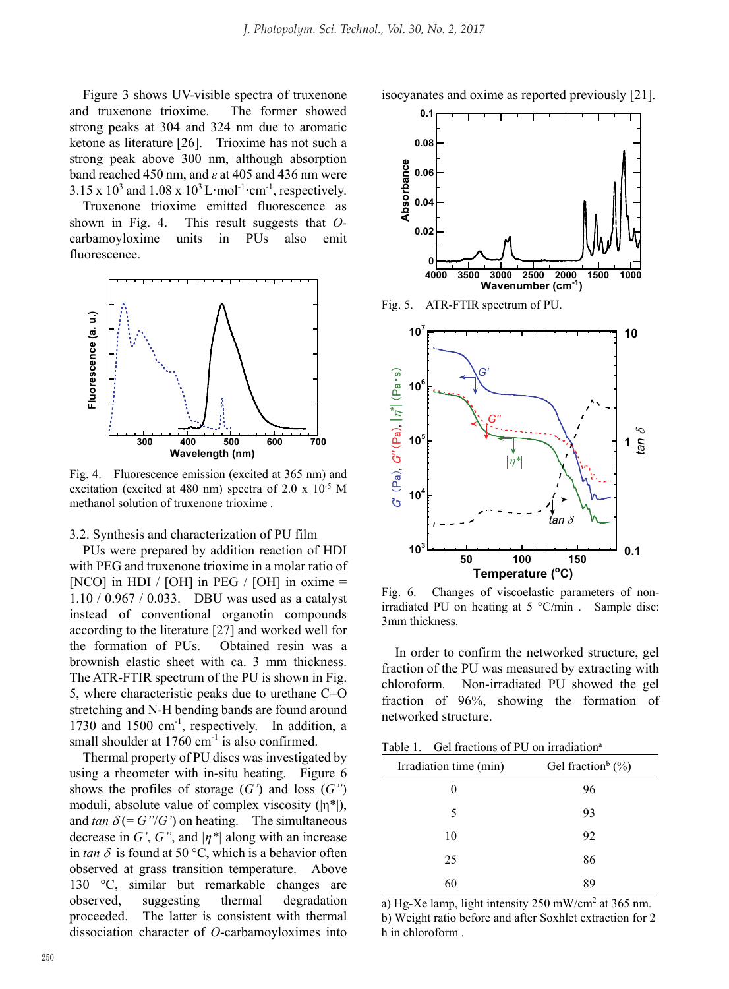**0.1**

Figure 3 shows UV-visible spectra of truxenone and truxenone trioxime. The former showed strong peaks at 304 and 324 nm due to aromatic ketone as literature [26]. Trioxime has not such a strong peak above 300 nm, although absorption band reached 450 nm, and *ε* at 405 and 436 nm were  $3.15 \times 10^3$  and  $1.08 \times 10^3$  L·mol<sup>-1</sup>·cm<sup>-1</sup>, respectively.

Truxenone trioxime emitted fluorescence as shown in Fig. 4. This result suggests that *O*carbamoyloxime units in PUs also emit fluorescence.



Fig. 4. Fluorescence emission (excited at 365 nm) and excitation (excited at 480 nm) spectra of 2.0 x 10-5 M methanol solution of truxenone trioxime .

## 3.2. Synthesis and characterization of PU film

PUs were prepared by addition reaction of HDI with PEG and truxenone trioxime in a molar ratio of [NCO] in HDI / [OH] in PEG / [OH] in oxime  $=$ 1.10 / 0.967 / 0.033. DBU was used as a catalyst instead of conventional organotin compounds according to the literature [27] and worked well for the formation of PUs. Obtained resin was a brownish elastic sheet with ca. 3 mm thickness. The ATR-FTIR spectrum of the PU is shown in Fig. 5, where characteristic peaks due to urethane C=O stretching and N-H bending bands are found around 1730 and 1500 cm<sup>-1</sup>, respectively. In addition, a small shoulder at 1760 cm<sup>-1</sup> is also confirmed.

Thermal property of PU discs was investigated by using a rheometer with in-situ heating. Figure 6 shows the profiles of storage (*G'*) and loss (*G''*) moduli, absolute value of complex viscosity  $(|\eta^*|)$ , and  $tan \delta (= G''/G')$  on heating. The simultaneous decrease in *G'*, *G''*, and  $|\eta^*|$  along with an increase in  $tan \delta$  is found at 50 °C, which is a behavior often observed at grass transition temperature. Above 130 °C, similar but remarkable changes are observed, suggesting thermal degradation proceeded. The latter is consistent with thermal dissociation character of *O*-carbamoyloximes into



isocyanates and oxime as reported previously [21].

Fig. 6. Changes of viscoelastic parameters of nonirradiated PU on heating at 5 °C/min . Sample disc: 3mm thickness.

In order to confirm the networked structure, gel fraction of the PU was measured by extracting with chloroform. Non-irradiated PU showed the gel fraction of 96%, showing the formation of networked structure.

| Table 1. | Gel fractions of PU on irradiation <sup>a</sup> |  |  |
|----------|-------------------------------------------------|--|--|
|----------|-------------------------------------------------|--|--|

| Irradiation time (min) | Gel fraction <sup>b</sup> $(\% )$ |  |
|------------------------|-----------------------------------|--|
|                        | 96                                |  |
| 5                      | 93                                |  |
| 10                     | 92                                |  |
| 25                     | 86                                |  |
| 60                     | 89                                |  |

a) Hg-Xe lamp, light intensity 250 mW/cm2 at 365 nm. b) Weight ratio before and after Soxhlet extraction for 2 h in chloroform .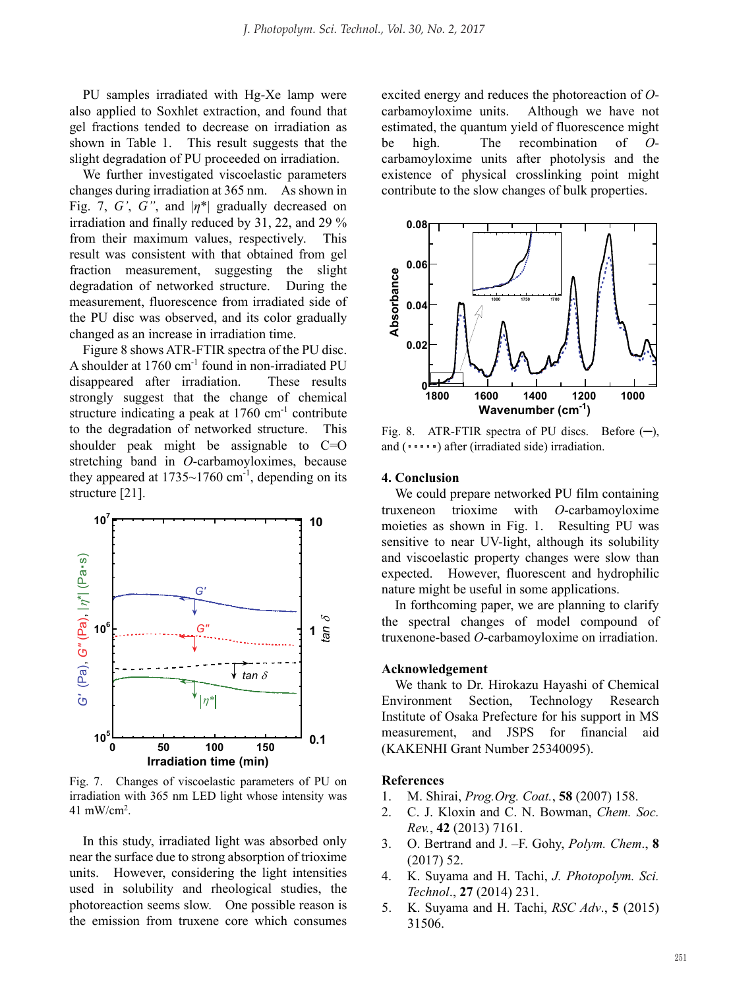PU samples irradiated with Hg-Xe lamp were also applied to Soxhlet extraction, and found that gel fractions tended to decrease on irradiation as shown in Table 1. This result suggests that the slight degradation of PU proceeded on irradiation.

We further investigated viscoelastic parameters changes during irradiation at 365 nm. As shown in Fig. 7, G', G", and  $|n^*|$  gradually decreased on irradiation and finally reduced by 31, 22, and 29 % from their maximum values, respectively. This result was consistent with that obtained from gel fraction measurement, suggesting the slight degradation of networked structure. During the measurement, fluorescence from irradiated side of the PU disc was observed, and its color gradually changed as an increase in irradiation time.

Figure 8 shows ATR-FTIR spectra of the PU disc. A shoulder at 1760 cm<sup>-1</sup> found in non-irradiated PU disappeared after irradiation. These results strongly suggest that the change of chemical structure indicating a peak at  $1760 \text{ cm}^{-1}$  contribute to the degradation of networked structure. This shoulder peak might be assignable to C=O stretching band in *O*-carbamoyloximes, because they appeared at  $1735 \sim 1760$  cm<sup>-1</sup>, depending on its structure [21].



Fig. 7. Changes of viscoelastic parameters of PU on irradiation with 365 nm LED light whose intensity was 41 mW/cm2 .

In this study, irradiated light was absorbed only near the surface due to strong absorption of trioxime units. However, considering the light intensities used in solubility and rheological studies, the photoreaction seems slow. One possible reason is the emission from truxene core which consumes

excited energy and reduces the photoreaction of *O*carbamoyloxime units. Although we have not estimated, the quantum yield of fluorescence might be high. The recombination of *O*carbamoyloxime units after photolysis and the existence of physical crosslinking point might contribute to the slow changes of bulk properties.



Fig. 8. ATR-FTIR spectra of PU discs. Before  $(-)$ , and  $(\cdot \cdot \cdot \cdot)$  after (irradiated side) irradiation.

### **4. Conclusion**

We could prepare networked PU film containing truxeneon trioxime with *O*-carbamoyloxime moieties as shown in Fig. 1. Resulting PU was sensitive to near UV-light, although its solubility and viscoelastic property changes were slow than expected. However, fluorescent and hydrophilic nature might be useful in some applications.

In forthcoming paper, we are planning to clarify the spectral changes of model compound of truxenone-based *O*-carbamoyloxime on irradiation.

#### **Acknowledgement**

We thank to Dr. Hirokazu Hayashi of Chemical Environment Section, Technology Research Institute of Osaka Prefecture for his support in MS measurement, and JSPS for financial aid (KAKENHI Grant Number 25340095).

#### **References**

- 1. M. Shirai, *Prog.Org. Coat.*, **58** (2007) 158.
- 2. C. J. Kloxin and C. N. Bowman, *Chem. Soc. Rev.*, **42** (2013) 7161.
- 3. O. Bertrand and J. –F. Gohy, *Polym. Chem*., **8** (2017) 52.
- 4. K. Suyama and H. Tachi, *J. Photopolym. Sci. Technol*., **27** (2014) 231.
- 5. K. Suyama and H. Tachi, *RSC Adv*., **5** (2015) 31506.